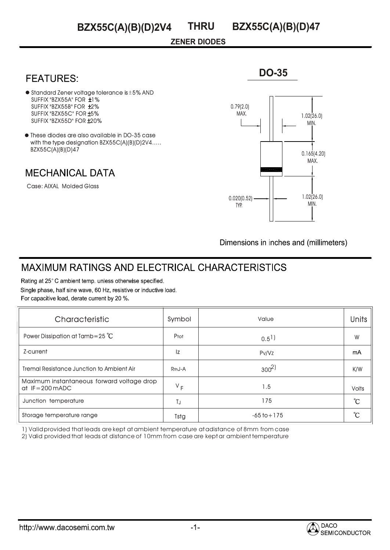### **ZENER DIODES**

## **FEATURES:**

- $\bullet$  Standard Zener voltage tolerance is  $\pm$  5% AND SUFFIX "BZX55A" FOR ±1% SUFFIX "BZX55B" FOR ±2% SUFFIX "BZX55C" FOR ±5% SUFFIX "BZX55D" FOR ±20%
- $\bullet$  These diodes are also available in DO-35 case with the type designation BZX55C(A)(B)(D)2V4..... BZX55C(A)(B)(D)47

### **MECHANICAL DATA**

Case: AIXAL Molded Glass



**DO-35**

Dimensions in inches and (millimeters)

# **MAXIMUM RATINGS AND ELECTRICAL CHARACTERISTICS**

Rating at 25°C ambient temp. unless otherwise specified. Single phase, half sine wave, 60 Hz, resistive or inductive load. For capacitive load, derate current by 20 %.

| Characteristic                                                           | Symbol              | Value                | <b>Units</b> |
|--------------------------------------------------------------------------|---------------------|----------------------|--------------|
| Power Dissipation at Tamb=25 $^{\circ}$ C                                | Ptot                | $0.5$ <sup>1</sup> ) | W            |
| Z-current                                                                | Iz                  | Pv/Vz                | mA           |
| <b>Tremal Resistance Junction to Ambient Air</b>                         | R <sub>th</sub> J-A | $300^{2}$            | K/W          |
| Maximum instantaneous forward voltage drop<br>at $IF = 200 \text{ mADC}$ | $V_F$               | 1.5                  | <b>Volts</b> |
| Junction temperature                                                     | TJ                  | 175                  | °C           |
| Storage temperature range                                                | Tstg                | $-65$ to $+175$      | °C           |

1) Valid provided that leads are kept at ambient temperature at adistance of 8mm from case

2) Valid provided that leads at distance of 10mm from case are kept ar ambient temperature

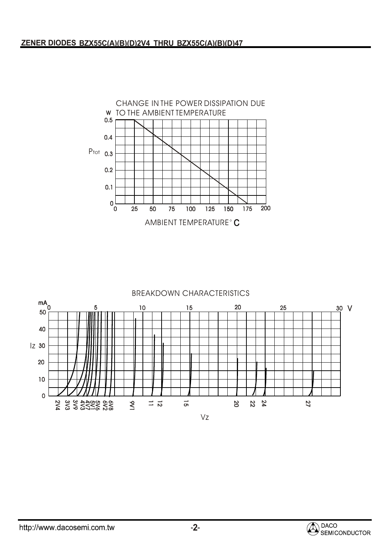

#### BREAKDOWN CHARACTERISTICS